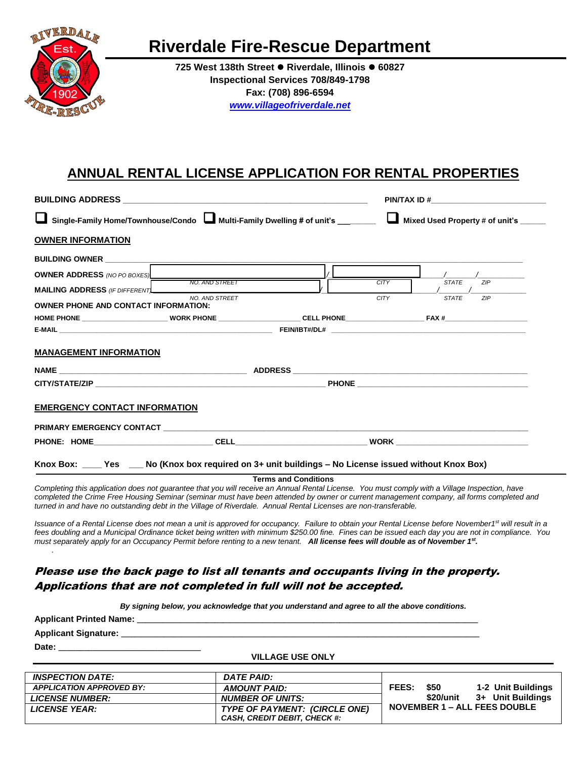

# **Riverdale Fire-Rescue Department**

**725 West 138th Street Riverdale, Illinois 60827 Inspectional Services 708/849-1798 Fax: (708) 896-6594** *[www.villageofriverdale.net](http://www.villageofriverdale.net/)*

## **ANNUAL RENTAL LICENSE APPLICATION FOR RENTAL PROPERTIES**

|                                                                                                                                                                                                                                                                    |                |                             | Mixed Used Property # of unit's _____ |                                                                                                                                           |  |  |
|--------------------------------------------------------------------------------------------------------------------------------------------------------------------------------------------------------------------------------------------------------------------|----------------|-----------------------------|---------------------------------------|-------------------------------------------------------------------------------------------------------------------------------------------|--|--|
| Single-Family Home/Townhouse/Condo Multi-Family Dwelling # of unit's _______                                                                                                                                                                                       |                |                             |                                       |                                                                                                                                           |  |  |
| <b>OWNER INFORMATION</b>                                                                                                                                                                                                                                           |                |                             |                                       |                                                                                                                                           |  |  |
|                                                                                                                                                                                                                                                                    |                |                             |                                       |                                                                                                                                           |  |  |
| <b>OWNER ADDRESS</b> (NO PO BOXES) <b>FURNITY OF AND STREET</b>                                                                                                                                                                                                    |                |                             |                                       |                                                                                                                                           |  |  |
| <b>MAILING ADDRESS</b> (IF DIFFERENT)                                                                                                                                                                                                                              |                |                             | <b>CITY</b>                           | <b>STATE</b><br>ZIP                                                                                                                       |  |  |
| <b>OWNER PHONE AND CONTACT INFORMATION:</b>                                                                                                                                                                                                                        | NO. AND STREET |                             | CITY                                  | <b>STATE</b><br>ZIP                                                                                                                       |  |  |
|                                                                                                                                                                                                                                                                    |                |                             |                                       |                                                                                                                                           |  |  |
|                                                                                                                                                                                                                                                                    |                |                             |                                       |                                                                                                                                           |  |  |
| <b>MANAGEMENT INFORMATION</b>                                                                                                                                                                                                                                      |                |                             |                                       |                                                                                                                                           |  |  |
|                                                                                                                                                                                                                                                                    |                |                             |                                       |                                                                                                                                           |  |  |
| <b>EMERGENCY CONTACT INFORMATION</b>                                                                                                                                                                                                                               |                |                             |                                       |                                                                                                                                           |  |  |
|                                                                                                                                                                                                                                                                    |                |                             |                                       |                                                                                                                                           |  |  |
|                                                                                                                                                                                                                                                                    |                |                             |                                       |                                                                                                                                           |  |  |
| Knox Box: ____ Yes ___ No (Knox box required on 3+ unit buildings - No License issued without Knox Box)                                                                                                                                                            |                |                             |                                       |                                                                                                                                           |  |  |
|                                                                                                                                                                                                                                                                    |                | <b>Terms and Conditions</b> |                                       |                                                                                                                                           |  |  |
| Completing this application does not quarantee that you will receive an Annual Rental License. You must comply with a Village Inspection, have<br>turned in and have no outstanding debt in the Village of Riverdale. Annual Rental Licenses are non-transferable. |                |                             |                                       | completed the Crime Free Housing Seminar (seminar must have been attended by owner or current management company, all forms completed and |  |  |

*Issuance of a Rental License does not mean a unit is approved for occupancy. Failure to obtain your Rental License before November1 st will result in a fees doubling and a Municipal Ordinance ticket being written with minimum \$250.00 fine. Fines can be issued each day you are not in compliance. You*  must separately apply for an Occupancy Permit before renting to a new tenant. All license fees will double as of November 1<sup>st</sup>. *.*

### Please use the back page to list all tenants and occupants living in the property. Applications that are not completed in full will not be accepted.

*By signing below, you acknowledge that you understand and agree to all the above conditions.*

| <b>Applicant Printed Name:</b> |  |
|--------------------------------|--|
| <b>Applicant Signature:</b>    |  |
| Date:                          |  |

#### **VILLAGE USE ONLY**

| <b>INSPECTION DATE:</b>         | DATE PAID:                          |                                                  |  |  |
|---------------------------------|-------------------------------------|--------------------------------------------------|--|--|
| <b>APPLICATION APPROVED BY:</b> | AMOUNT PAID:                        | <b>FEES:</b><br>1-2 Unit Buildings<br><b>S50</b> |  |  |
| <b>LICENSE NUMBER:</b>          | <b>NUMBER OF UNITS:</b>             | \$20/unit<br>3+ Unit Buildings                   |  |  |
| <b>LICENSE YEAR:</b>            | TYPE OF PAYMENT: (CIRCLE ONE)       | NOVEMBER 1 – ALL FEES DOUBLE                     |  |  |
|                                 | <b>CASH, CREDIT DEBIT, CHECK #:</b> |                                                  |  |  |